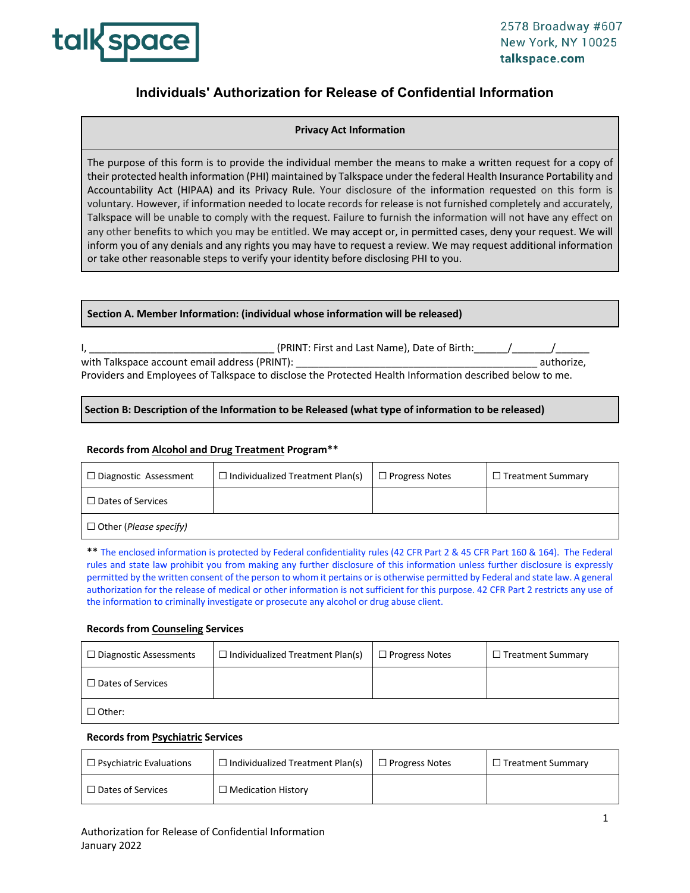

# **Individuals' Authorization for Release of Confidential Information**

# **Privacy Act Information**

The purpose of this form is to provide the individual member the means to make a written request for a copy of their protected health information (PHI) maintained by Talkspace under the federal Health Insurance Portability and Accountability Act (HIPAA) and its Privacy Rule. Your disclosure of the information requested on this form is voluntary. However, if information needed to locate records for release is not furnished completely and accurately, Talkspace will be unable to comply with the request. Failure to furnish the information will not have any effect on any other benefits to which you may be entitled. We may accept or, in permitted cases, deny your request. We will inform you of any denials and any rights you may have to request a review. We may request additional information or take other reasonable steps to verify your identity before disclosing PHI to you.

#### **Section A. Member Information: (individual whose information will be released)**

| (PRINT: First and Last Name), Date of Birth:                                                             |            |
|----------------------------------------------------------------------------------------------------------|------------|
| with Talkspace account email address (PRINT):                                                            | authorize. |
| Providers and Employees of Talkspace to disclose the Protected Health Information described below to me. |            |

# **Section B: Description of the Information to be Released (what type of information to be released)**

# **Records from Alcohol and Drug Treatment Program\*\***

| $\Box$ Diagnostic Assessment           | $\Box$ Individualized Treatment Plan(s) | $\Box$ Progress Notes | $\Box$ Treatment Summary |
|----------------------------------------|-----------------------------------------|-----------------------|--------------------------|
| $\Box$ Dates of Services               |                                         |                       |                          |
| $\Box$ Other ( <i>Please specify</i> ) |                                         |                       |                          |

\*\* The enclosed information is protected by Federal confidentiality rules (42 CFR Part 2 & 45 CFR Part 160 & 164). The Federal rules and state law prohibit you from making any further disclosure of this information unless further disclosure is expressly permitted by the written consent of the person to whom it pertains or is otherwise permitted by Federal and state law. A general authorization for the release of medical or other information is not sufficient for this purpose. 42 CFR Part 2 restricts any use of the information to criminally investigate or prosecute any alcohol or drug abuse client.

#### **Records from Counseling Services**

| $\Box$ Diagnostic Assessments | $\Box$ Individualized Treatment Plan(s) | $\Box$ Progress Notes | $\Box$ Treatment Summary |
|-------------------------------|-----------------------------------------|-----------------------|--------------------------|
| $\Box$ Dates of Services      |                                         |                       |                          |
| $\Box$ Other:                 |                                         |                       |                          |

#### **Records from Psychiatric Services**

| $\Box$ Psychiatric Evaluations | $\Box$ Individualized Treatment Plan(s) | $\Box$ Progress Notes | $\Box$ Treatment Summarv |
|--------------------------------|-----------------------------------------|-----------------------|--------------------------|
| $\Box$ Dates of Services       | $\Box$ Medication History               |                       |                          |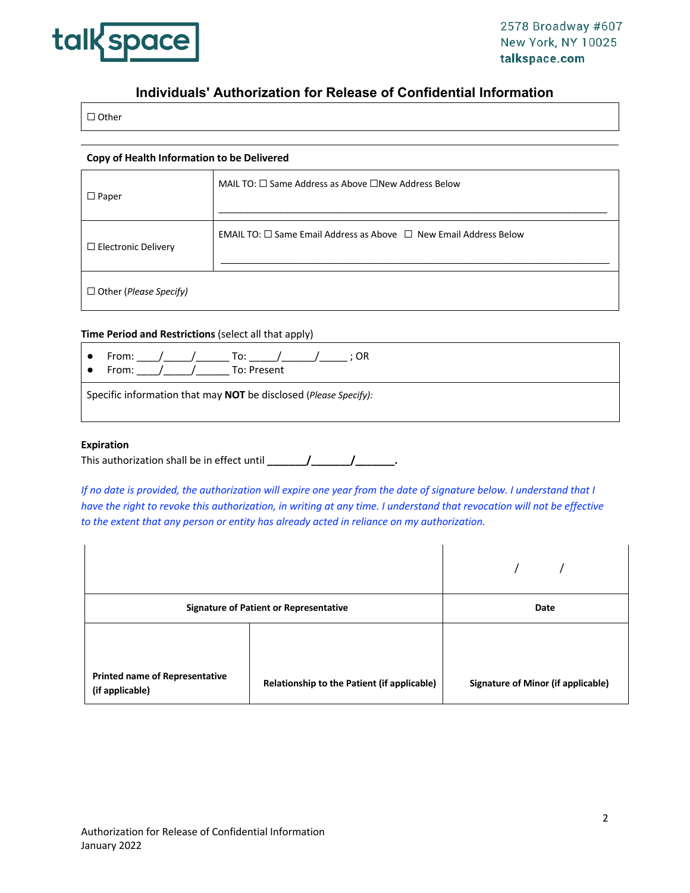

# **Individuals' Authorization for Release of Confidential Information**

☐ Other

#### **Copy of Health Information to be Delivered**

| $\Box$ Paper               | MAIL TO: $\square$ Same Address as Above $\square$ New Address Below                         |
|----------------------------|----------------------------------------------------------------------------------------------|
| $\Box$ Electronic Delivery | <b>EMAIL TO:</b> $\square$ Same Email Address as Above $\;\square\;$ New Email Address Below |
| □ Other (Please Specify)   |                                                                                              |

#### **Time Period and Restrictions** (select all that apply)

|                                                                  | From: /<br>$\sqrt{2}$ To:<br>: OR<br>To: Present<br>From: |  |  |
|------------------------------------------------------------------|-----------------------------------------------------------|--|--|
| Specific information that may NOT be disclosed (Please Specify): |                                                           |  |  |

### **Expiration**

| This authorization shall be in effect until |  |  |
|---------------------------------------------|--|--|
|---------------------------------------------|--|--|

*If no date is provided, the authorization will expire one year from the date of signature below. I understand that I have the right to revoke this authorization, in writing at any time. I understand that revocation will not be effective to the extent that any person or entity has already acted in reliance on my authorization.* 

| <b>Signature of Patient or Representative</b>            |                                             | Date                                      |
|----------------------------------------------------------|---------------------------------------------|-------------------------------------------|
|                                                          |                                             |                                           |
| <b>Printed name of Representative</b><br>(if applicable) | Relationship to the Patient (if applicable) | <b>Signature of Minor (if applicable)</b> |